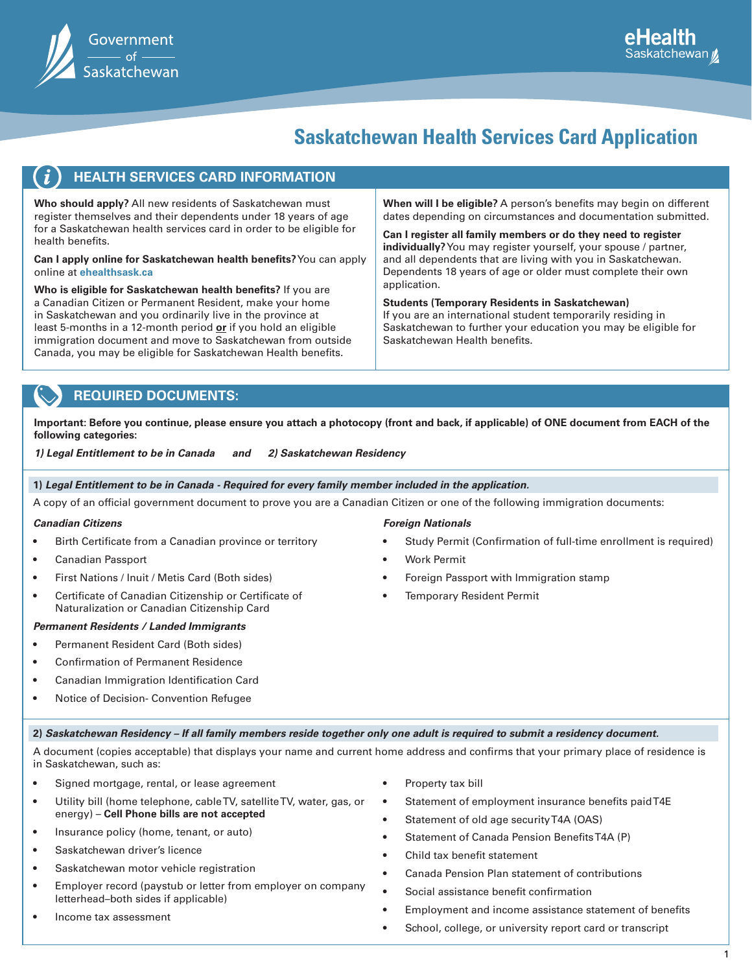| Government             |
|------------------------|
| — of l<br>Saskatchewan |

### **Saskatchewan Health Services Card Application**

| <b>HEALTH SERVICES CARD INFORMATION</b><br>Who should apply? All new residents of Saskatchewan must<br>register themselves and their dependents under 18 years of age<br>for a Saskatchewan health services card in order to be eligible for<br>health benefits.<br><b>Can I apply online for Saskatchewan health benefits?</b> You can apply<br>online at ehealthsask.ca<br>Who is eligible for Saskatchewan health benefits? If you are<br>a Canadian Citizen or Permanent Resident, make your home<br>in Saskatchewan and you ordinarily live in the province at | When will I be eligible? A person's benefits may begin on different<br>dates depending on circumstances and documentation submitted.<br>Can I register all family members or do they need to register<br>individually? You may register yourself, your spouse / partner,<br>and all dependents that are living with you in Saskatchewan.<br>Dependents 18 years of age or older must complete their own<br>application.<br><b>Students (Temporary Residents in Saskatchewan)</b><br>If you are an international student temporarily residing in |
|---------------------------------------------------------------------------------------------------------------------------------------------------------------------------------------------------------------------------------------------------------------------------------------------------------------------------------------------------------------------------------------------------------------------------------------------------------------------------------------------------------------------------------------------------------------------|-------------------------------------------------------------------------------------------------------------------------------------------------------------------------------------------------------------------------------------------------------------------------------------------------------------------------------------------------------------------------------------------------------------------------------------------------------------------------------------------------------------------------------------------------|
| least 5-months in a 12-month period or if you hold an eligible<br>immigration document and move to Saskatchewan from outside<br>Canada, you may be eligible for Saskatchewan Health benefits.                                                                                                                                                                                                                                                                                                                                                                       | Saskatchewan to further your education you may be eligible for<br>Saskatchewan Health benefits.                                                                                                                                                                                                                                                                                                                                                                                                                                                 |
|                                                                                                                                                                                                                                                                                                                                                                                                                                                                                                                                                                     |                                                                                                                                                                                                                                                                                                                                                                                                                                                                                                                                                 |

#### **REQUIRED DOCUMENTS:**

**Important: Before you continue, please ensure you attach a photocopy (front and back, if applicable) of ONE document from EACH of the following categories:** 

*1) Legal Entitlement to be in Canada and 2) Saskatchewan Residency*

**1)** *Legal Entitlement to be in Canada - Required for every family member included in the application.*

A copy of an official government document to prove you are a Canadian Citizen or one of the following immigration documents:

#### *Canadian Citizens*

Birth Certificate from a Canadian province or territory

#### • Canadian Passport

- First Nations / Inuit / Metis Card (Both sides)
- Certificate of Canadian Citizenship or Certificate of Naturalization or Canadian Citizenship Card

#### *Permanent Residents / Landed Immigrants*

- Permanent Resident Card (Both sides)
- Confirmation of Permanent Residence
- Canadian Immigration Identification Card
- Notice of Decision- Convention Refugee

#### *Foreign Nationals*

- Study Permit (Confirmation of full-time enrollment is required)
- Work Permit
- Foreign Passport with Immigration stamp
- Temporary Resident Permit

#### **2)** *Saskatchewan Residency – If all family members reside together only one adult is required to submit a residency document.*

A document (copies acceptable) that displays your name and current home address and confirms that your primary place of residence is in Saskatchewan, such as:

- Signed mortgage, rental, or lease agreement
- Utility bill (home telephone, cable TV, satellite TV, water, gas, or energy) – **Cell Phone bills are not accepted**
- Insurance policy (home, tenant, or auto)
- Saskatchewan driver's licence
- Saskatchewan motor vehicle registration
- Employer record (paystub or letter from employer on company letterhead–both sides if applicable)
- Income tax assessment
- Property tax bill
- Statement of employment insurance benefits paid T4E
- Statement of old age security T4A (OAS)
- Statement of Canada Pension Benefits T4A (P)
- Child tax benefit statement
- Canada Pension Plan statement of contributions
- Social assistance benefit confirmation
- Employment and income assistance statement of benefits
- School, college, or university report card or transcript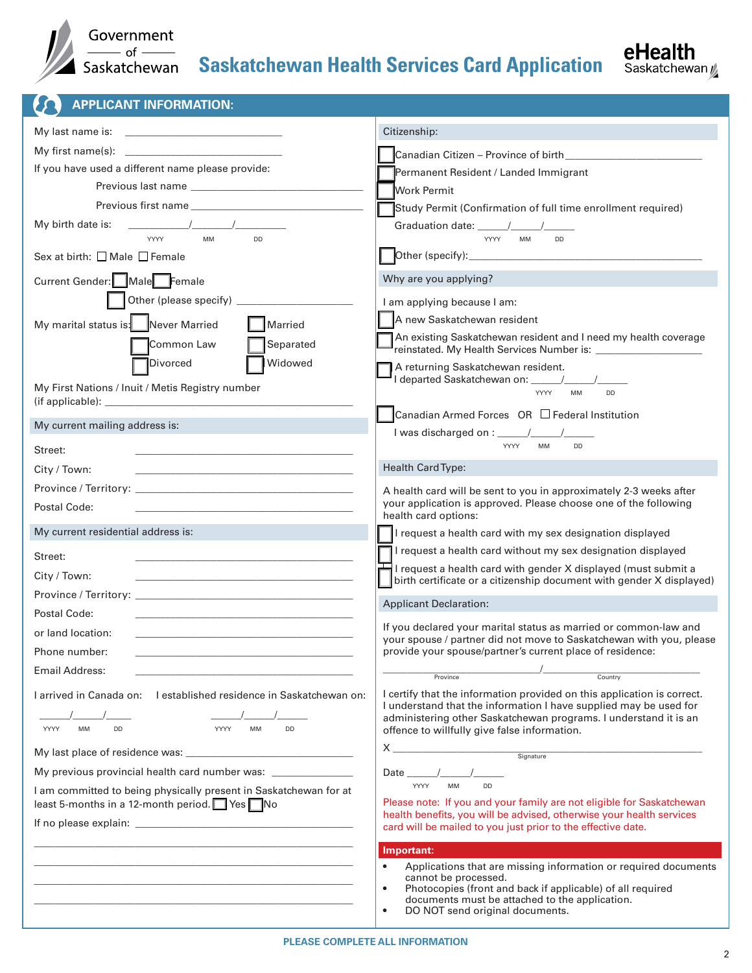

 $\boldsymbol{\Omega}$ 

## Saskatchewan **Saskatchewan Health Services Card Application**

 **APPLICANT INFORMATION:**

|                                                                                                                                | Citizenship:                                                                                                                                                              |
|--------------------------------------------------------------------------------------------------------------------------------|---------------------------------------------------------------------------------------------------------------------------------------------------------------------------|
| My first name(s):                                                                                                              |                                                                                                                                                                           |
| If you have used a different name please provide:                                                                              | Permanent Resident / Landed Immigrant                                                                                                                                     |
|                                                                                                                                | <b>Work Permit</b>                                                                                                                                                        |
| Previous first name                                                                                                            | Study Permit (Confirmation of full time enrollment required)                                                                                                              |
| My birth date is:                                                                                                              |                                                                                                                                                                           |
| YYYY<br><b>MM</b><br><b>DD</b>                                                                                                 | YYYY<br><b>MM</b><br><b>DD</b>                                                                                                                                            |
| Sex at birth: $\Box$ Male $\Box$ Female                                                                                        |                                                                                                                                                                           |
| Current Gender: Male Female                                                                                                    | Why are you applying?                                                                                                                                                     |
|                                                                                                                                | I am applying because I am:                                                                                                                                               |
| My marital status is: Never Married<br>Married                                                                                 | A new Saskatchewan resident                                                                                                                                               |
| Separated<br>Common Law                                                                                                        | An existing Saskatchewan resident and I need my health coverage<br>reinstated. My Health Services Number is: ________________                                             |
| Widowed<br>Divorced                                                                                                            | A returning Saskatchewan resident.                                                                                                                                        |
| My First Nations / Inuit / Metis Registry number                                                                               |                                                                                                                                                                           |
|                                                                                                                                | <b>YYYY</b><br><b>MM</b><br><b>DD</b>                                                                                                                                     |
| My current mailing address is:                                                                                                 | Canadian Armed Forces OR □ Federal Institution                                                                                                                            |
|                                                                                                                                |                                                                                                                                                                           |
| Street:                                                                                                                        | <b>YYYY</b><br>MM<br><b>DD</b>                                                                                                                                            |
| City / Town:<br>the control of the control of the control of the control of the control of the control of                      | Health Card Type:                                                                                                                                                         |
| Province / Territory: New York 1997 - Andrew York 1997 - Andrew York 1997 - Andrew York 1997 - Andrew York 199                 | A health card will be sent to you in approximately 2-3 weeks after                                                                                                        |
| Postal Code:                                                                                                                   | your application is approved. Please choose one of the following<br>health card options:                                                                                  |
| My current residential address is:                                                                                             | I request a health card with my sex designation displayed                                                                                                                 |
|                                                                                                                                |                                                                                                                                                                           |
| Street:                                                                                                                        | I request a health card without my sex designation displayed                                                                                                              |
| City / Town:                                                                                                                   | I request a health card with gender X displayed (must submit a                                                                                                            |
|                                                                                                                                | birth certificate or a citizenship document with gender X displayed)                                                                                                      |
| Postal Code:                                                                                                                   | <b>Applicant Declaration:</b>                                                                                                                                             |
| or land location:                                                                                                              | If you declared your marital status as married or common-law and                                                                                                          |
| Phone number:                                                                                                                  | your spouse / partner did not move to Saskatchewan with you, please<br>provide your spouse/partner's current place of residence:                                          |
| Email Address:                                                                                                                 | $\overline{1}$                                                                                                                                                            |
|                                                                                                                                | Province<br>Country                                                                                                                                                       |
| I arrived in Canada on:<br>I established residence in Saskatchewan on:                                                         | I certify that the information provided on this application is correct.<br>I understand that the information I have supplied may be used for                              |
| <b>MM</b><br>DD<br>YYYY<br><b>MM</b><br><b>DD</b><br>YYYY                                                                      | administering other Saskatchewan programs. I understand it is an<br>offence to willfully give false information.                                                          |
|                                                                                                                                | $X_{-}$                                                                                                                                                                   |
|                                                                                                                                | <u>Signature</u>                                                                                                                                                          |
| My previous provincial health card number was: _______________                                                                 | Date $\_\_$<br><b>MM</b><br><b>YYYY</b><br><b>DD</b>                                                                                                                      |
| I am committed to being physically present in Saskatchewan for at<br>least 5-months in a 12-month period. $\Box$ Yes $\neg$ No | Please note: If you and your family are not eligible for Saskatchewan                                                                                                     |
|                                                                                                                                | health benefits, you will be advised, otherwise your health services                                                                                                      |
|                                                                                                                                | card will be mailed to you just prior to the effective date.                                                                                                              |
|                                                                                                                                | Important:<br>$\bullet$                                                                                                                                                   |
|                                                                                                                                | Applications that are missing information or required documents<br>cannot be processed.                                                                                   |
|                                                                                                                                | Photocopies (front and back if applicable) of all required<br>$\bullet$<br>documents must be attached to the application.<br>DO NOT send original documents.<br>$\bullet$ |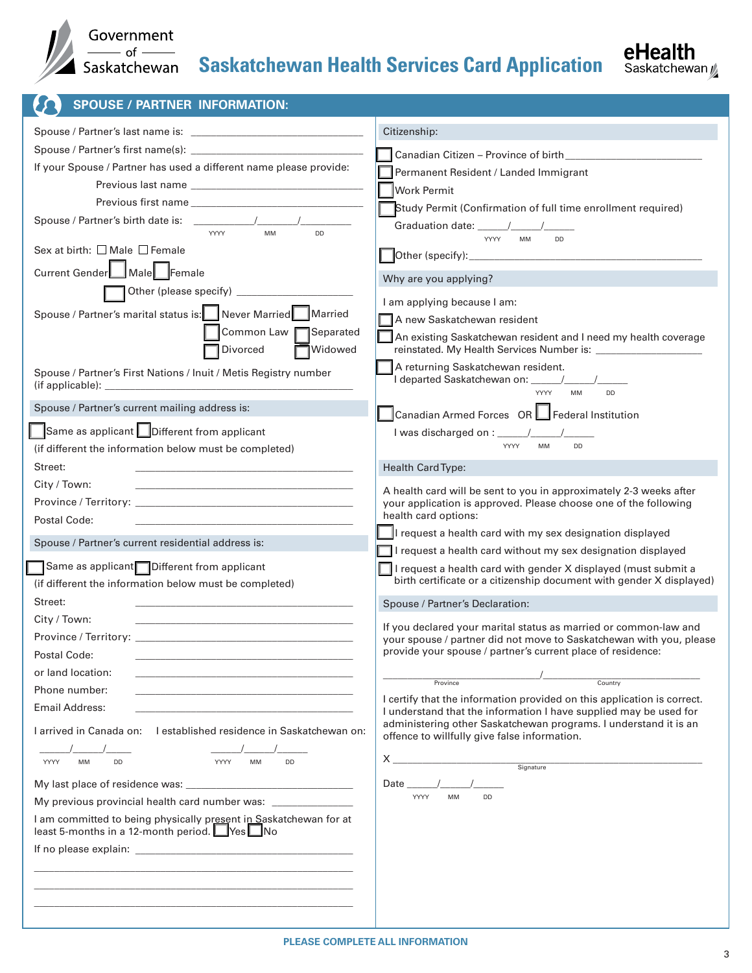

### Saskatchewan **Saskatchewan Health Services Card Application**

| <b>SPOUSE / PARTNER INFORMATION:</b>                                                                          |                                                                                                                  |
|---------------------------------------------------------------------------------------------------------------|------------------------------------------------------------------------------------------------------------------|
|                                                                                                               | Citizenship:                                                                                                     |
|                                                                                                               | Canadian Citizen - Province of birth_____________                                                                |
| If your Spouse / Partner has used a different name please provide:                                            | Permanent Resident / Landed Immigrant                                                                            |
| Previous last name                                                                                            | <b>Work Permit</b>                                                                                               |
| Previous first name                                                                                           | Study Permit (Confirmation of full time enrollment required)                                                     |
|                                                                                                               |                                                                                                                  |
| <b>MM</b><br><b>YYYY</b><br><b>DD</b>                                                                         | <b>YYYY</b><br><b>MM</b><br><b>DD</b>                                                                            |
| Sex at birth: $\Box$ Male $\Box$ Female                                                                       |                                                                                                                  |
| Current Gender Male Female                                                                                    | Why are you applying?                                                                                            |
|                                                                                                               |                                                                                                                  |
| Spouse / Partner's marital status is: Never Married Married                                                   | I am applying because I am:                                                                                      |
| Common Law Separated                                                                                          | A new Saskatchewan resident                                                                                      |
| Widowed<br>Divorced                                                                                           | An existing Saskatchewan resident and I need my health coverage                                                  |
| Spouse / Partner's First Nations / Inuit / Metis Registry number                                              | A returning Saskatchewan resident.                                                                               |
|                                                                                                               | I departed Saskatchewan on: \\sqrt{\bmg>{\bmg}}{\bmg>{\bmg}}{\bmg>{\bmg}}}                                       |
| Spouse / Partner's current mailing address is:                                                                | YYYY<br>MM<br>DD                                                                                                 |
|                                                                                                               | Canadian Armed Forces OR Federal Institution                                                                     |
| Same as applicant <b>Different from applicant</b>                                                             | YYYY<br><b>MM</b><br><b>DD</b>                                                                                   |
| (if different the information below must be completed)                                                        |                                                                                                                  |
| Street:                                                                                                       | <b>Health Card Type:</b>                                                                                         |
| City / Town:<br>the control of the control of the control of the control of the control of the control of     | A health card will be sent to you in approximately 2-3 weeks after                                               |
| Postal Code:                                                                                                  | your application is approved. Please choose one of the following<br>health card options:                         |
|                                                                                                               | I request a health card with my sex designation displayed                                                        |
| Spouse / Partner's current residential address is:                                                            | $\Box$ I request a health card without my sex designation displayed                                              |
| Same as applicant<br>Different from applicant                                                                 | I request a health card with gender X displayed (must submit a                                                   |
| (if different the information below must be completed)                                                        | birth certificate or a citizenship document with gender X displayed)                                             |
| Street:                                                                                                       | Spouse / Partner's Declaration:                                                                                  |
| City / Town:                                                                                                  | If you declared your marital status as married or common-law and                                                 |
|                                                                                                               | your spouse / partner did not move to Saskatchewan with you, please                                              |
| Postal Code:                                                                                                  | provide your spouse / partner's current place of residence:                                                      |
| or land location:                                                                                             | Country<br>Province                                                                                              |
| Phone number:                                                                                                 | I certify that the information provided on this application is correct.                                          |
| Email Address:                                                                                                | I understand that the information I have supplied may be used for                                                |
| I arrived in Canada on: I established residence in Saskatchewan on:                                           | administering other Saskatchewan programs. I understand it is an<br>offence to willfully give false information. |
|                                                                                                               |                                                                                                                  |
| MM<br>DD<br><b>YYYY</b><br><b>MM</b><br>DD<br>YYYY                                                            | X.<br>and the Signature                                                                                          |
|                                                                                                               | Date                                                                                                             |
| My previous provincial health card number was: _________________                                              | YYYY<br><b>MM</b><br><b>DD</b>                                                                                   |
| I am committed to being physically present in Saskatchewan for at<br>least 5-months in a 12-month period. Pes |                                                                                                                  |
|                                                                                                               |                                                                                                                  |
|                                                                                                               |                                                                                                                  |
|                                                                                                               |                                                                                                                  |
|                                                                                                               |                                                                                                                  |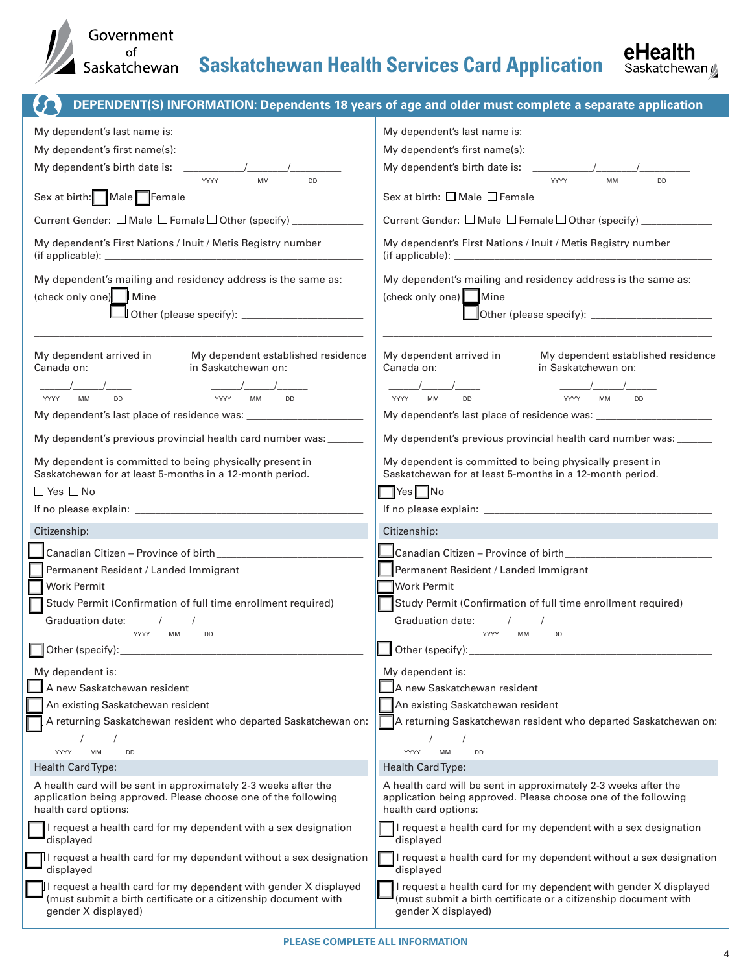

# Sovernment<br>
Saskatchewan **Saskatchewan Health Services Card Application**



|                                                                                                                                                                               | DEPENDENT(S) INFORMATION: Dependents 18 years of age and older must complete a separate application                                                                                                                                                                                           |
|-------------------------------------------------------------------------------------------------------------------------------------------------------------------------------|-----------------------------------------------------------------------------------------------------------------------------------------------------------------------------------------------------------------------------------------------------------------------------------------------|
|                                                                                                                                                                               |                                                                                                                                                                                                                                                                                               |
|                                                                                                                                                                               |                                                                                                                                                                                                                                                                                               |
| My dependent's birth date is: $\sqrt{2}$                                                                                                                                      |                                                                                                                                                                                                                                                                                               |
| YYYY<br>MM<br>DD                                                                                                                                                              | YYYY<br>MM<br>DD                                                                                                                                                                                                                                                                              |
| Sex at birth: Male Female                                                                                                                                                     | Sex at birth: $\Box$ Male $\Box$ Female                                                                                                                                                                                                                                                       |
| Current Gender: □ Male □ Female □ Other (specify) ___________                                                                                                                 | Current Gender: □ Male □ Female □ Other (specify) ____________                                                                                                                                                                                                                                |
| My dependent's First Nations / Inuit / Metis Registry number<br>(if applicable):<br>the control of the control of the control of the control of the control of the control of | My dependent's First Nations / Inuit / Metis Registry number<br>(if applicable): the contract of the contract of the contract of the contract of the contract of the contract of the contract of the contract of the contract of the contract of the contract of the contract of the contract |
| My dependent's mailing and residency address is the same as:                                                                                                                  | My dependent's mailing and residency address is the same as:                                                                                                                                                                                                                                  |
| (check only one) Mine                                                                                                                                                         | (check only one) Mine                                                                                                                                                                                                                                                                         |
|                                                                                                                                                                               |                                                                                                                                                                                                                                                                                               |
|                                                                                                                                                                               |                                                                                                                                                                                                                                                                                               |
| My dependent arrived in<br>My dependent established residence<br>Canada on:<br>in Saskatchewan on:                                                                            | My dependent arrived in<br>My dependent established residence<br>Canada on:<br>in Saskatchewan on:                                                                                                                                                                                            |
| YYYY<br><b>MM</b><br><b>DD</b><br>YYYY<br><b>MM</b><br><b>DD</b>                                                                                                              | <b>DD</b><br>YYYY<br><b>MM</b><br>YYYY<br><b>MM</b><br><b>DD</b>                                                                                                                                                                                                                              |
|                                                                                                                                                                               |                                                                                                                                                                                                                                                                                               |
| My dependent's previous provincial health card number was: ______                                                                                                             | My dependent's previous provincial health card number was: ______                                                                                                                                                                                                                             |
| My dependent is committed to being physically present in<br>Saskatchewan for at least 5-months in a 12-month period.                                                          | My dependent is committed to being physically present in<br>Saskatchewan for at least 5-months in a 12-month period.                                                                                                                                                                          |
| $\Box$ Yes $\Box$ No                                                                                                                                                          | $\exists$ Yes $\Box$ No                                                                                                                                                                                                                                                                       |
|                                                                                                                                                                               | If no please explain: <u>the contract of the contract of the contract of the contract of the contract of the contract of the contract of the contract of the contract of the contract of the contract of the contract of the con</u>                                                          |
| Citizenship:                                                                                                                                                                  | Citizenship:                                                                                                                                                                                                                                                                                  |
| Canadian Citizen - Province of birth                                                                                                                                          | Canadian Citizen - Province of birth_________________                                                                                                                                                                                                                                         |
| Permanent Resident / Landed Immigrant                                                                                                                                         | Permanent Resident / Landed Immigrant                                                                                                                                                                                                                                                         |
| <b>Work Permit</b>                                                                                                                                                            | <b>Work Permit</b>                                                                                                                                                                                                                                                                            |
| Study Permit (Confirmation of full time enrollment required)                                                                                                                  | Study Permit (Confirmation of full time enrollment required)                                                                                                                                                                                                                                  |
|                                                                                                                                                                               | Graduation date: /<br><b>YYYY</b>                                                                                                                                                                                                                                                             |
| <b>YYYY</b><br>MM<br>DD<br>$\Box$ Other (specify):                                                                                                                            | <b>MM</b><br>DD<br>Other (specify):                                                                                                                                                                                                                                                           |
|                                                                                                                                                                               | My dependent is:                                                                                                                                                                                                                                                                              |
| My dependent is:<br>A new Saskatchewan resident                                                                                                                               | A new Saskatchewan resident                                                                                                                                                                                                                                                                   |
| An existing Saskatchewan resident                                                                                                                                             | An existing Saskatchewan resident                                                                                                                                                                                                                                                             |
| A returning Saskatchewan resident who departed Saskatchewan on:                                                                                                               | A returning Saskatchewan resident who departed Saskatchewan on:                                                                                                                                                                                                                               |
|                                                                                                                                                                               |                                                                                                                                                                                                                                                                                               |
| YYYY<br>MM<br>DD                                                                                                                                                              | DD<br>YYYY<br><b>MM</b>                                                                                                                                                                                                                                                                       |
| <b>Health Card Type:</b>                                                                                                                                                      | <b>Health Card Type:</b>                                                                                                                                                                                                                                                                      |
| A health card will be sent in approximately 2-3 weeks after the<br>application being approved. Please choose one of the following<br>health card options:                     | A health card will be sent in approximately 2-3 weeks after the<br>application being approved. Please choose one of the following<br>health card options:                                                                                                                                     |
| I request a health card for my dependent with a sex designation<br>displayed                                                                                                  | I request a health card for my dependent with a sex designation<br>displayed                                                                                                                                                                                                                  |
| $\mu$ I request a health card for my dependent without a sex designation<br>displayed                                                                                         | I request a health card for my dependent without a sex designation<br>displayed                                                                                                                                                                                                               |
| I request a health card for my dependent with gender X displayed<br>(must submit a birth certificate or a citizenship document with<br>gender X displayed)                    | I request a health card for my dependent with gender X displayed<br>(must submit a birth certificate or a citizenship document with<br>gender X displayed)                                                                                                                                    |